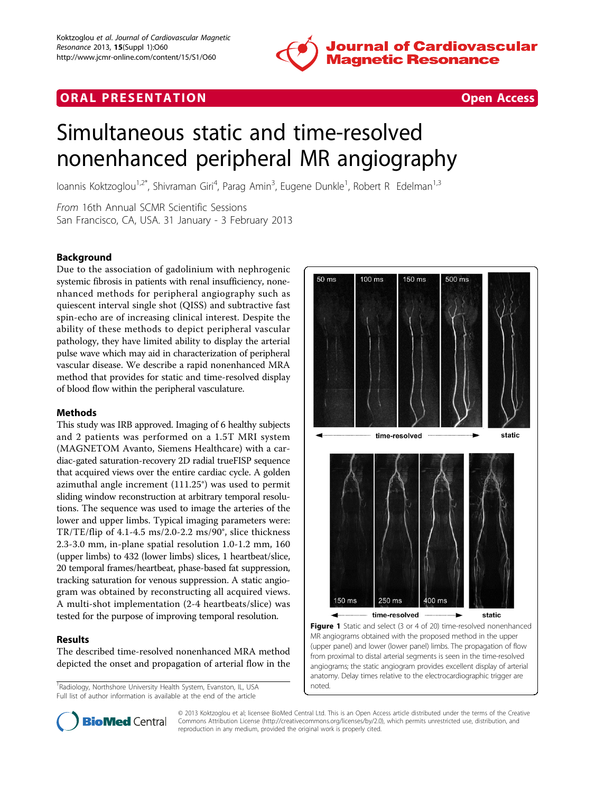

# <span id="page-0-0"></span>**ORAL PRESENTATION CONSUMING ACCESS**



# Simultaneous static and time-resolved nonenhanced peripheral MR angiography

Ioannis Koktzoglou<sup>1,2\*</sup>, Shivraman Giri<sup>4</sup>, Parag Amin<sup>3</sup>, Eugene Dunkle<sup>1</sup>, Robert R Edelman<sup>1,3</sup>

From 16th Annual SCMR Scientific Sessions San Francisco, CA, USA. 31 January - 3 February 2013

# Background

Due to the association of gadolinium with nephrogenic systemic fibrosis in patients with renal insufficiency, nonenhanced methods for peripheral angiography such as quiescent interval single shot (QISS) and subtractive fast spin-echo are of increasing clinical interest. Despite the ability of these methods to depict peripheral vascular pathology, they have limited ability to display the arterial pulse wave which may aid in characterization of peripheral vascular disease. We describe a rapid nonenhanced MRA method that provides for static and time-resolved display of blood flow within the peripheral vasculature.

# Methods

This study was IRB approved. Imaging of 6 healthy subjects and 2 patients was performed on a 1.5T MRI system (MAGNETOM Avanto, Siemens Healthcare) with a cardiac-gated saturation-recovery 2D radial trueFISP sequence that acquired views over the entire cardiac cycle. A golden azimuthal angle increment (111.25°) was used to permit sliding window reconstruction at arbitrary temporal resolutions. The sequence was used to image the arteries of the lower and upper limbs. Typical imaging parameters were: TR/TE/flip of 4.1-4.5 ms/2.0-2.2 ms/90°, slice thickness 2.3-3.0 mm, in-plane spatial resolution 1.0-1.2 mm, 160 (upper limbs) to 432 (lower limbs) slices, 1 heartbeat/slice, 20 temporal frames/heartbeat, phase-based fat suppression, tracking saturation for venous suppression. A static angiogram was obtained by reconstructing all acquired views. A multi-shot implementation (2-4 heartbeats/slice) was tested for the purpose of improving temporal resolution.

## Results

The described time-resolved nonenhanced MRA method depicted the onset and propagation of arterial flow in the

<sup>1</sup>Radiology, Northshore University Health System, Evanston, IL, USA Full list of author information is available at the end of the article



(upper panel) and lower (lower panel) limbs. The propagation of flow from proximal to distal arterial segments is seen in the time-resolved angiograms; the static angiogram provides excellent display of arterial anatomy. Delay times relative to the electrocardiographic trigger are noted.



© 2013 Koktzoglou et al; licensee BioMed Central Ltd. This is an Open Access article distributed under the terms of the Creative Commons Attribution License [\(http://creativecommons.org/licenses/by/2.0](http://creativecommons.org/licenses/by/2.0)), which permits unrestricted use, distribution, and reproduction in any medium, provided the original work is properly cited.